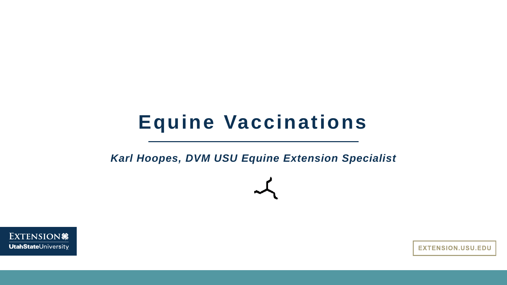#### **Equine Vaccinations**

*Karl Hoopes, DVM USU Equine Extension Specialist*



**EXTENSION.USU.EDU**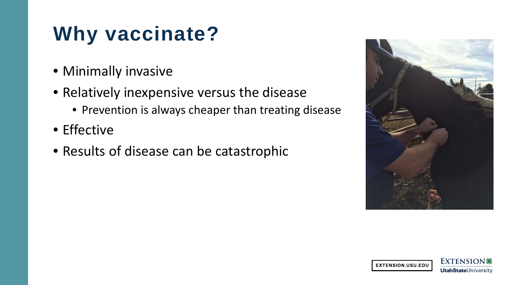# **Why vaccinate?**

- Minimally invasive
- Relatively inexpensive versus the disease
	- Prevention is always cheaper than treating disease
- Effective
- Results of disease can be catastrophic



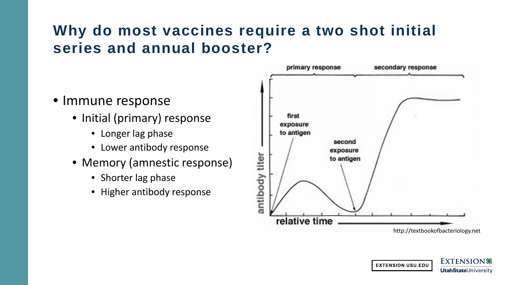#### **Why do most vaccines require a two shot initial series and annual booster?**

- Immune response
	- Initial (primary) response
		- Longer lag phase
		- Lower antibody response
	- Memory (amnestic response)
		- Shorter lag phase
		- Higher antibody response



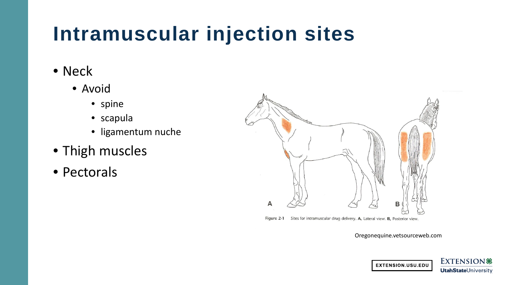# **Intramuscular injection sites**

- Neck
	- Avoid
		- spine
		- scapula
		- ligamentum nuche
- Thigh muscles
- Pectorals



Oregonequine.vetsourceweb.com

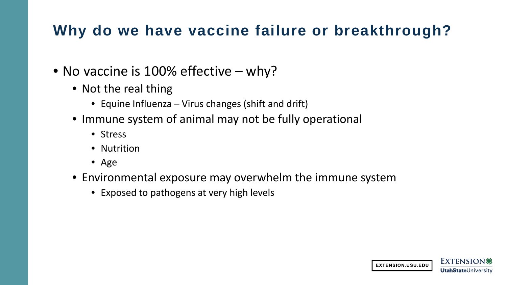#### **Why do we have vaccine failure or breakthrough?**

- No vaccine is 100% effective why?
	- Not the real thing
		- Equine Influenza Virus changes (shift and drift)
	- Immune system of animal may not be fully operational
		- Stress
		- Nutrition
		- Age
	- Environmental exposure may overwhelm the immune system
		- Exposed to pathogens at very high levels

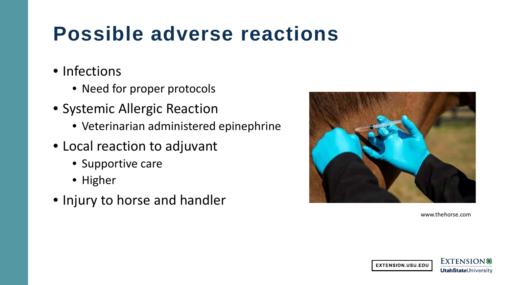# **Possible adverse reactions**

- Infections
	- Need for proper protocols
- Systemic Allergic Reaction
	- Veterinarian administered epinephrine
- Local reaction to adjuvant
	- Supportive care
	- Higher
- Injury to horse and handler



www.thehorse.com

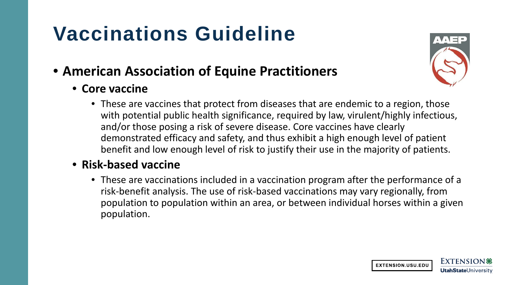# **Vaccinations Guideline**

#### • **American Association of Equine Practitioners**

• **Core vaccine** 



• These are vaccines that protect from diseases that are endemic to a region, those with potential public health significance, required by law, virulent/highly infectious, and/or those posing a risk of severe disease. Core vaccines have clearly demonstrated efficacy and safety, and thus exhibit a high enough level of patient benefit and low enough level of risk to justify their use in the majority of patients.

#### • **Risk-based vaccine**

• These are vaccinations included in a vaccination program after the performance of a risk-benefit analysis. The use of risk-based vaccinations may vary regionally, from population to population within an area, or between individual horses within a given population.

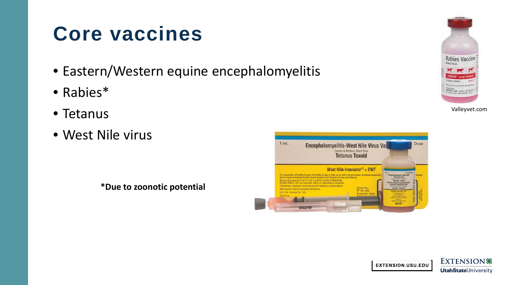## **Core vaccines**

- Eastern/Western equine encephalomyelitis
- Rabies\*
- Tetanus
- West Nile virus











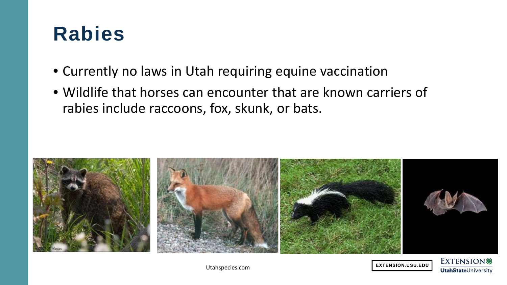#### **Rabies**

- Currently no laws in Utah requiring equine vaccination
- Wildlife that horses can encounter that are known carriers of rabies include raccoons, fox, skunk, or bats.







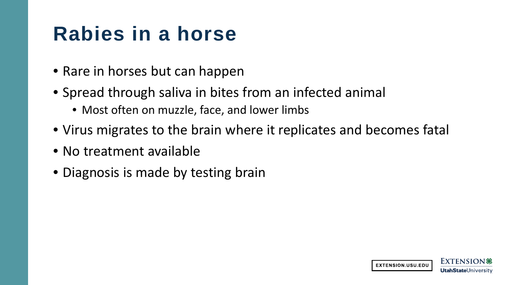## **Rabies in a horse**

- Rare in horses but can happen
- Spread through saliva in bites from an infected animal
	- Most often on muzzle, face, and lower limbs
- Virus migrates to the brain where it replicates and becomes fatal
- No treatment available
- Diagnosis is made by testing brain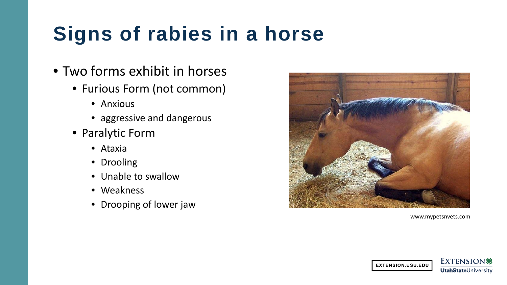# **Signs of rabies in a horse**

- Two forms exhibit in horses
	- Furious Form (not common)
		- Anxious
		- aggressive and dangerous
	- Paralytic Form
		- Ataxia
		- Drooling
		- Unable to swallow
		- Weakness
		- Drooping of lower jaw



www.mypetsnvets.com

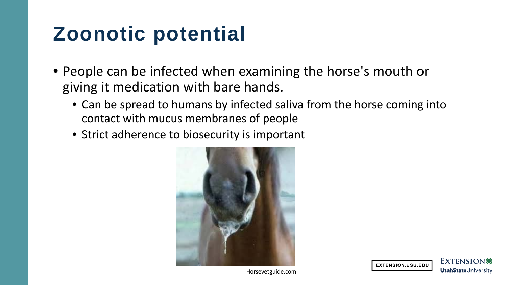## **Zoonotic potential**

- People can be infected when examining the horse's mouth or giving it medication with bare hands.
	- Can be spread to humans by infected saliva from the horse coming into contact with mucus membranes of people
	- Strict adherence to biosecurity is important





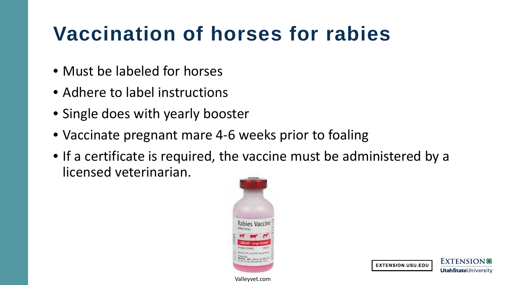# **Vaccination of horses for rabies**

- Must be labeled for horses
- Adhere to label instructions
- Single does with yearly booster
- Vaccinate pregnant mare 4-6 weeks prior to foaling
- If a certificate is required, the vaccine must be administered by a licensed veterinarian.



Valleyvet.com



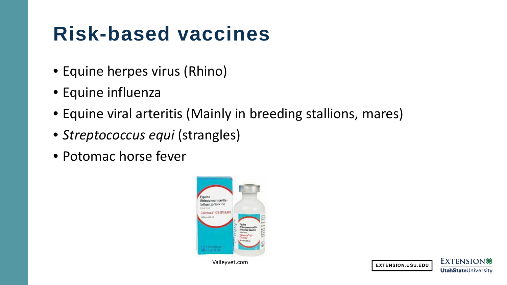## **Risk-based vaccines**

- Equine herpes virus (Rhino)
- Equine influenza
- Equine viral arteritis (Mainly in breeding stallions, mares)
- *Streptococcus equi* (strangles)
- Potomac horse fever



Valleyvet.com



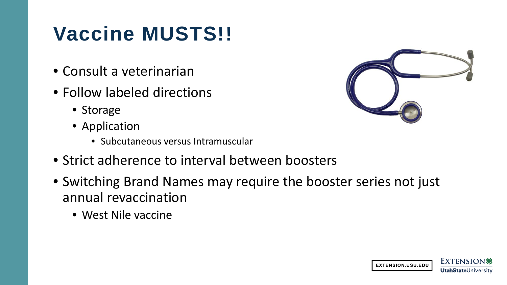# **Vaccine MUSTS!!**

- Consult a veterinarian
- Follow labeled directions
	- Storage
	- Application
		- Subcutaneous versus Intramuscular
- Strict adherence to interval between boosters
- Switching Brand Names may require the booster series not just annual revaccination
	- West Nile vaccine



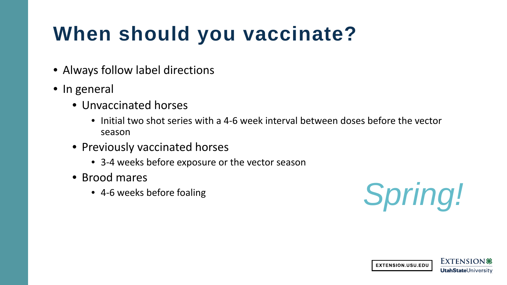# **When should you vaccinate?**

- Always follow label directions
- In general
	- Unvaccinated horses
		- Initial two shot series with a 4-6 week interval between doses before the vector season
	- Previously vaccinated horses
		- 3-4 weeks before exposure or the vector season
	- Brood mares
		-



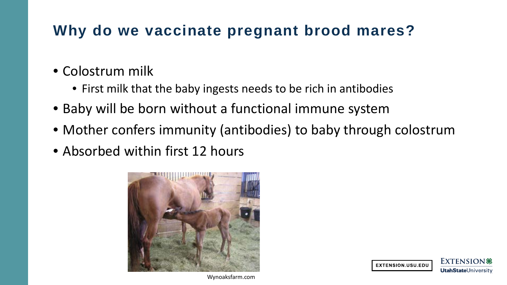#### **Why do we vaccinate pregnant brood mares?**

- Colostrum milk
	- First milk that the baby ingests needs to be rich in antibodies
- Baby will be born without a functional immune system
- Mother confers immunity (antibodies) to baby through colostrum
- Absorbed within first 12 hours





Wynoaksfarm.com